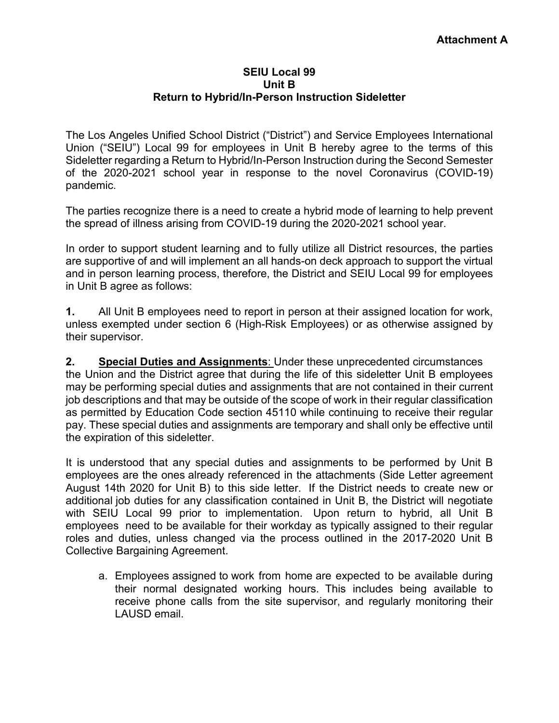## **SEIU Local 99 Unit B Return to Hybrid/In-Person Instruction Sideletter**

The Los Angeles Unified School District ("District") and Service Employees International Union ("SEIU") Local 99 for employees in Unit B hereby agree to the terms of this Sideletter regarding a Return to Hybrid/In-Person Instruction during the Second Semester of the 2020-2021 school year in response to the novel Coronavirus (COVID-19) pandemic.

The parties recognize there is a need to create a hybrid mode of learning to help prevent the spread of illness arising from COVID-19 during the 2020-2021 school year.

In order to support student learning and to fully utilize all District resources, the parties are supportive of and will implement an all hands-on deck approach to support the virtual and in person learning process, therefore, the District and SEIU Local 99 for employees in Unit B agree as follows:

**1.** All Unit B employees need to report in person at their assigned location for work, unless exempted under section 6 (High-Risk Employees) or as otherwise assigned by their supervisor.

**2. Special Duties and Assignments**: Under these unprecedented circumstances the Union and the District agree that during the life of this sideletter Unit B employees may be performing special duties and assignments that are not contained in their current job descriptions and that may be outside of the scope of work in their regular classification as permitted by Education Code section 45110 while continuing to receive their regular pay. These special duties and assignments are temporary and shall only be effective until the expiration of this sideletter.

It is understood that any special duties and assignments to be performed by Unit B employees are the ones already referenced in the attachments (Side Letter agreement August 14th 2020 for Unit B) to this side letter. If the District needs to create new or additional job duties for any classification contained in Unit B, the District will negotiate with SEIU Local 99 prior to implementation. Upon return to hybrid, all Unit B employees need to be available for their workday as typically assigned to their regular roles and duties, unless changed via the process outlined in the 2017-2020 Unit B Collective Bargaining Agreement.

a. Employees assigned to work from home are expected to be available during their normal designated working hours. This includes being available to receive phone calls from the site supervisor, and regularly monitoring their LAUSD email.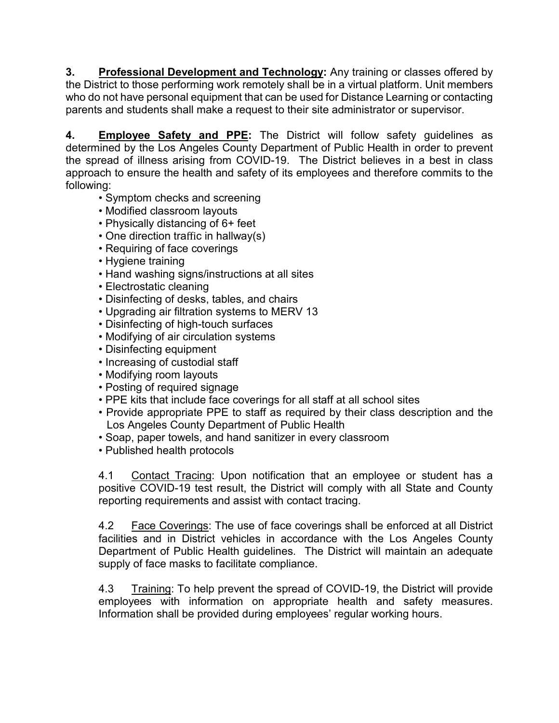**3. Professional Development and Technology:** Any training or classes offered by the District to those performing work remotely shall be in a virtual platform. Unit members who do not have personal equipment that can be used for Distance Learning or contacting parents and students shall make a request to their site administrator or supervisor.

**4. Employee Safety and PPE:** The District will follow safety guidelines as determined by the Los Angeles County Department of Public Health in order to prevent the spread of illness arising from COVID-19. The District believes in a best in class approach to ensure the health and safety of its employees and therefore commits to the following:

- Symptom checks and screening
- Modified classroom layouts
- Physically distancing of 6+ feet
- One direction traffic in hallway(s)
- Requiring of face coverings
- Hygiene training
- Hand washing signs/instructions at all sites
- Electrostatic cleaning
- Disinfecting of desks, tables, and chairs
- Upgrading air filtration systems to MERV 13
- Disinfecting of high-touch surfaces
- Modifying of air circulation systems
- Disinfecting equipment
- Increasing of custodial staff
- Modifying room layouts
- Posting of required signage
- PPE kits that include face coverings for all staff at all school sites
- Provide appropriate PPE to staff as required by their class description and the Los Angeles County Department of Public Health
- Soap, paper towels, and hand sanitizer in every classroom
- Published health protocols

4.1 Contact Tracing: Upon notification that an employee or student has a positive COVID-19 test result, the District will comply with all State and County reporting requirements and assist with contact tracing.

4.2 Face Coverings: The use of face coverings shall be enforced at all District facilities and in District vehicles in accordance with the Los Angeles County Department of Public Health guidelines. The District will maintain an adequate supply of face masks to facilitate compliance.

4.3 Training: To help prevent the spread of COVID-19, the District will provide employees with information on appropriate health and safety measures. Information shall be provided during employees' regular working hours.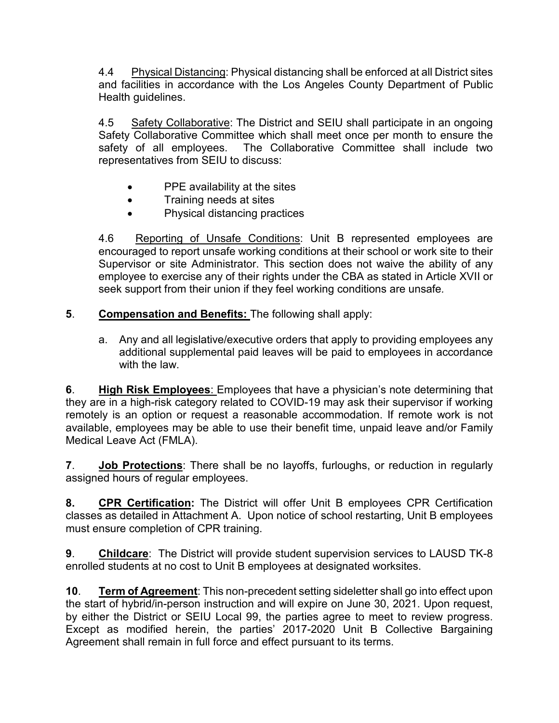4.4 Physical Distancing: Physical distancing shall be enforced at all District sites and facilities in accordance with the Los Angeles County Department of Public Health guidelines.

4.5 Safety Collaborative: The District and SEIU shall participate in an ongoing Safety Collaborative Committee which shall meet once per month to ensure the safety of all employees. The Collaborative Committee shall include two representatives from SEIU to discuss:

- PPE availability at the sites
- Training needs at sites
- Physical distancing practices

4.6 Reporting of Unsafe Conditions: Unit B represented employees are encouraged to report unsafe working conditions at their school or work site to their Supervisor or site Administrator. This section does not waive the ability of any employee to exercise any of their rights under the CBA as stated in Article XVII or seek support from their union if they feel working conditions are unsafe*.*

## **5**. **Compensation and Benefits:** The following shall apply:

a. Any and all legislative/executive orders that apply to providing employees any additional supplemental paid leaves will be paid to employees in accordance with the law.

**6**. **High Risk Employees**: Employees that have a physician's note determining that they are in a high-risk category related to COVID-19 may ask their supervisor if working remotely is an option or request a reasonable accommodation. If remote work is not available, employees may be able to use their benefit time, unpaid leave and/or Family Medical Leave Act (FMLA).

**7**. **Job Protections**: There shall be no layoffs, furloughs, or reduction in regularly assigned hours of regular employees.

**8. CPR Certification:** The District will offer Unit B employees CPR Certification classes as detailed in Attachment A. Upon notice of school restarting, Unit B employees must ensure completion of CPR training.

**9**. **Childcare**: The District will provide student supervision services to LAUSD TK-8 enrolled students at no cost to Unit B employees at designated worksites.

**10**. **Term of Agreement**: This non-precedent setting sideletter shall go into effect upon the start of hybrid/in-person instruction and will expire on June 30, 2021. Upon request, by either the District or SEIU Local 99, the parties agree to meet to review progress. Except as modified herein, the parties' 2017-2020 Unit B Collective Bargaining Agreement shall remain in full force and effect pursuant to its terms.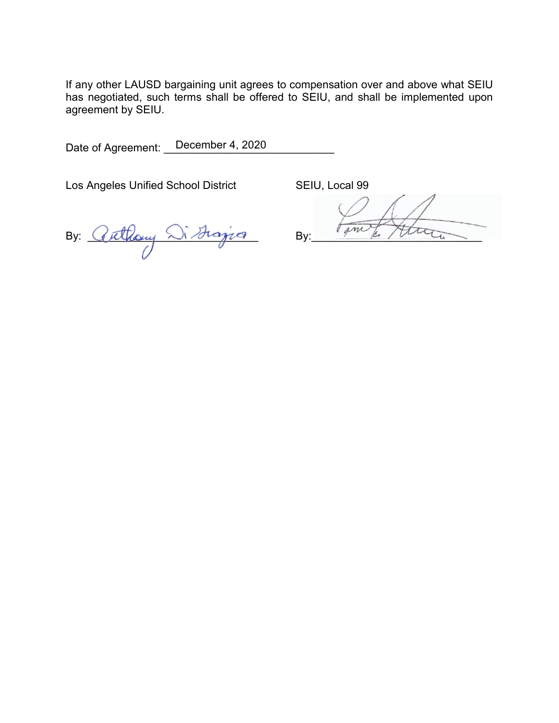If any other LAUSD bargaining unit agrees to compensation over and above what SEIU has negotiated, such terms shall be offered to SEIU, and shall be implemented upon agreement by SEIU.

Date of Agreement: December 4, 2020

Los Angeles Unified School District SEIU, Local 99

By: Cuthony Distinguan By: Time